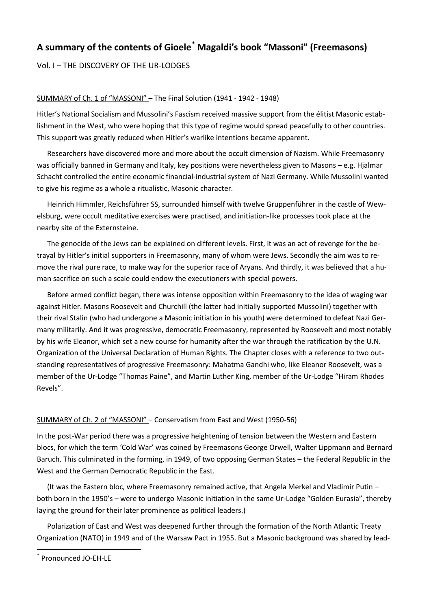# **A summary of the contents of Gioele[\\*](#page-0-0) Magaldi's book "Massoni" (Freemasons)**

Vol. I – THE DISCOVERY OF THE UR-LODGES

### SUMMARY of Ch. 1 of "MASSONI" – The Final Solution (1941 - 1942 - 1948)

Hitler's National Socialism and Mussolini's Fascism received massive support from the élitist Masonic establishment in the West, who were hoping that this type of regime would spread peacefully to other countries. This support was greatly reduced when Hitler's warlike intentions became apparent.

Researchers have discovered more and more about the occult dimension of Nazism. While Freemasonry was officially banned in Germany and Italy, key positions were nevertheless given to Masons – e.g. Hjalmar Schacht controlled the entire economic financial-industrial system of Nazi Germany. While Mussolini wanted to give his regime as a whole a ritualistic, Masonic character.

Heinrich Himmler, Reichsführer SS, surrounded himself with twelve Gruppenführer in the castle of Wewelsburg, were occult meditative exercises were practised, and initiation-like processes took place at the nearby site of the Externsteine.

The genocide of the Jews can be explained on different levels. First, it was an act of revenge for the betrayal by Hitler's initial supporters in Freemasonry, many of whom were Jews. Secondly the aim was to remove the rival pure race, to make way for the superior race of Aryans. And thirdly, it was believed that a human sacrifice on such a scale could endow the executioners with special powers.

Before armed conflict began, there was intense opposition within Freemasonry to the idea of waging war against Hitler. Masons Roosevelt and Churchill (the latter had initially supported Mussolini) together with their rival Stalin (who had undergone a Masonic initiation in his youth) were determined to defeat Nazi Germany militarily. And it was progressive, democratic Freemasonry, represented by Roosevelt and most notably by his wife Eleanor, which set a new course for humanity after the war through the ratification by the U.N. Organization of the Universal Declaration of Human Rights. The Chapter closes with a reference to two outstanding representatives of progressive Freemasonry: Mahatma Gandhi who, like Eleanor Roosevelt, was a member of the Ur-Lodge "Thomas Paine", and Martin Luther King, member of the Ur-Lodge "Hiram Rhodes Revels".

### SUMMARY of Ch. 2 of "MASSONI" – Conservatism from East and West (1950-56)

In the post-War period there was a progressive heightening of tension between the Western and Eastern blocs, for which the term 'Cold War' was coined by Freemasons George Orwell, Walter Lippmann and Bernard Baruch. This culminated in the forming, in 1949, of two opposing German States – the Federal Republic in the West and the German Democratic Republic in the East.

(It was the Eastern bloc, where Freemasonry remained active, that Angela Merkel and Vladimir Putin – both born in the 1950's – were to undergo Masonic initiation in the same Ur-Lodge "Golden Eurasia", thereby laying the ground for their later prominence as political leaders.)

Polarization of East and West was deepened further through the formation of the North Atlantic Treaty Organization (NATO) in 1949 and of the Warsaw Pact in 1955. But a Masonic background was shared by lead-

<span id="page-0-0"></span>Pronounced JO-EH-LE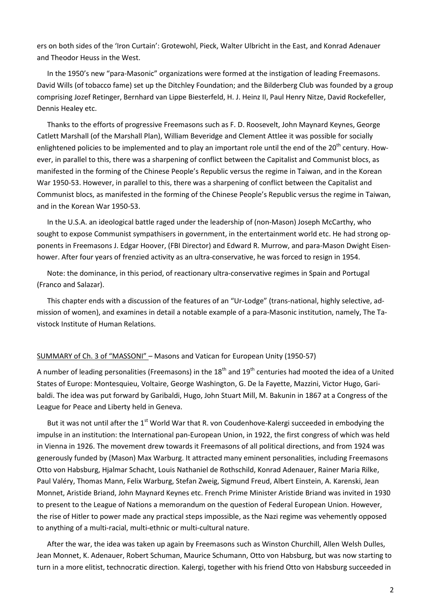ers on both sides of the 'Iron Curtain': Grotewohl, Pieck, Walter Ulbricht in the East, and Konrad Adenauer and Theodor Heuss in the West.

In the 1950's new "para-Masonic" organizations were formed at the instigation of leading Freemasons. David Wills (of tobacco fame) set up the Ditchley Foundation; and the Bilderberg Club was founded by a group comprising Jozef Retinger, Bernhard van Lippe Biesterfeld, H. J. Heinz II, Paul Henry Nitze, David Rockefeller, Dennis Healey etc.

Thanks to the efforts of progressive Freemasons such as F. D. Roosevelt, John Maynard Keynes, George Catlett Marshall (of the Marshall Plan), William Beveridge and Clement Attlee it was possible for socially enlightened policies to be implemented and to play an important role until the end of the 20<sup>th</sup> century. However, in parallel to this, there was a sharpening of conflict between the Capitalist and Communist blocs, as manifested in the forming of the Chinese People's Republic versus the regime in Taiwan, and in the Korean War 1950-53. However, in parallel to this, there was a sharpening of conflict between the Capitalist and Communist blocs, as manifested in the forming of the Chinese People's Republic versus the regime in Taiwan, and in the Korean War 1950-53.

In the U.S.A. an ideological battle raged under the leadership of (non-Mason) Joseph McCarthy, who sought to expose Communist sympathisers in government, in the entertainment world etc. He had strong opponents in Freemasons J. Edgar Hoover, (FBI Director) and Edward R. Murrow, and para-Mason Dwight Eisenhower. After four years of frenzied activity as an ultra-conservative, he was forced to resign in 1954.

Note: the dominance, in this period, of reactionary ultra-conservative regimes in Spain and Portugal (Franco and Salazar).

This chapter ends with a discussion of the features of an "Ur-Lodge" (trans-national, highly selective, admission of women), and examines in detail a notable example of a para-Masonic institution, namely, The Tavistock Institute of Human Relations.

### SUMMARY of Ch. 3 of "MASSONI" – Masons and Vatican for European Unity (1950-57)

A number of leading personalities (Freemasons) in the  $18<sup>th</sup>$  and  $19<sup>th</sup>$  centuries had mooted the idea of a United States of Europe: Montesquieu, Voltaire, George Washington, G. De la Fayette, Mazzini, Victor Hugo, Garibaldi. The idea was put forward by Garibaldi, Hugo, John Stuart Mill, M. Bakunin in 1867 at a Congress of the League for Peace and Liberty held in Geneva.

But it was not until after the 1<sup>st</sup> World War that R. von Coudenhove-Kalergi succeeded in embodying the impulse in an institution: the International pan-European Union, in 1922, the first congress of which was held in Vienna in 1926. The movement drew towards it Freemasons of all political directions, and from 1924 was generously funded by (Mason) Max Warburg. It attracted many eminent personalities, including Freemasons Otto von Habsburg, Hjalmar Schacht, Louis Nathaniel de Rothschild, Konrad Adenauer, Rainer Maria Rilke, Paul Valéry, Thomas Mann, Felix Warburg, Stefan Zweig, Sigmund Freud, Albert Einstein, A. Karenski, Jean Monnet, Aristide Briand, John Maynard Keynes etc. French Prime Minister Aristide Briand was invited in 1930 to present to the League of Nations a memorandum on the question of Federal European Union. However, the rise of Hitler to power made any practical steps impossible, as the Nazi regime was vehemently opposed to anything of a multi-racial, multi-ethnic or multi-cultural nature.

After the war, the idea was taken up again by Freemasons such as Winston Churchill, Allen Welsh Dulles, Jean Monnet, K. Adenauer, Robert Schuman, Maurice Schumann, Otto von Habsburg, but was now starting to turn in a more elitist, technocratic direction. Kalergi, together with his friend Otto von Habsburg succeeded in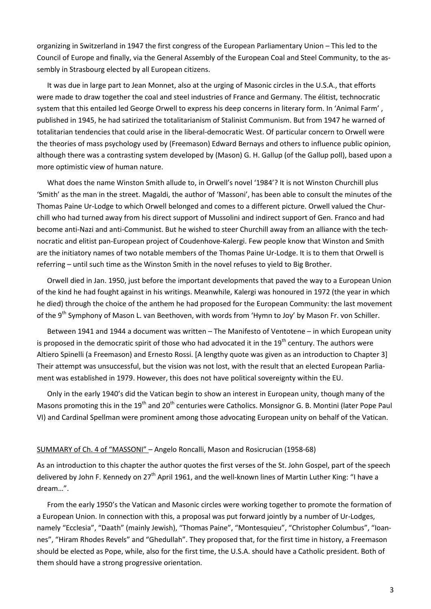organizing in Switzerland in 1947 the first congress of the European Parliamentary Union – This led to the Council of Europe and finally, via the General Assembly of the European Coal and Steel Community, to the assembly in Strasbourg elected by all European citizens.

It was due in large part to Jean Monnet, also at the urging of Masonic circles in the U.S.A., that efforts were made to draw together the coal and steel industries of France and Germany. The élitist, technocratic system that this entailed led George Orwell to express his deep concerns in literary form. In 'Animal Farm' , published in 1945, he had satirized the totalitarianism of Stalinist Communism. But from 1947 he warned of totalitarian tendencies that could arise in the liberal-democratic West. Of particular concern to Orwell were the theories of mass psychology used by (Freemason) Edward Bernays and others to influence public opinion, although there was a contrasting system developed by (Mason) G. H. Gallup (of the Gallup poll), based upon a more optimistic view of human nature.

What does the name Winston Smith allude to, in Orwell's novel '1984'? It is not Winston Churchill plus 'Smith' as the man in the street. Magaldi, the author of 'Massoni', has been able to consult the minutes of the Thomas Paine Ur-Lodge to which Orwell belonged and comes to a different picture. Orwell valued the Churchill who had turned away from his direct support of Mussolini and indirect support of Gen. Franco and had become anti-Nazi and anti-Communist. But he wished to steer Churchill away from an alliance with the technocratic and elitist pan-European project of Coudenhove-Kalergi. Few people know that Winston and Smith are the initiatory names of two notable members of the Thomas Paine Ur-Lodge. It is to them that Orwell is referring – until such time as the Winston Smith in the novel refuses to yield to Big Brother.

Orwell died in Jan. 1950, just before the important developments that paved the way to a European Union of the kind he had fought against in his writings. Meanwhile, Kalergi was honoured in 1972 (the year in which he died) through the choice of the anthem he had proposed for the European Community: the last movement of the 9<sup>th</sup> Symphony of Mason L. van Beethoven, with words from 'Hymn to Joy' by Mason Fr. von Schiller.

Between 1941 and 1944 a document was written – The Manifesto of Ventotene – in which European unity is proposed in the democratic spirit of those who had advocated it in the  $19<sup>th</sup>$  century. The authors were Altiero Spinelli (a Freemason) and Ernesto Rossi. [A lengthy quote was given as an introduction to Chapter 3] Their attempt was unsuccessful, but the vision was not lost, with the result that an elected European Parliament was established in 1979. However, this does not have political sovereignty within the EU.

Only in the early 1940's did the Vatican begin to show an interest in European unity, though many of the Masons promoting this in the 19<sup>th</sup> and 20<sup>th</sup> centuries were Catholics. Monsignor G. B. Montini (later Pope Paul VI) and Cardinal Spellman were prominent among those advocating European unity on behalf of the Vatican.

#### SUMMARY of Ch. 4 of "MASSONI" – Angelo Roncalli, Mason and Rosicrucian (1958-68)

As an introduction to this chapter the author quotes the first verses of the St. John Gospel, part of the speech delivered by John F. Kennedy on 27<sup>th</sup> April 1961, and the well-known lines of Martin Luther King: "I have a dream…".

From the early 1950's the Vatican and Masonic circles were working together to promote the formation of a European Union. In connection with this, a proposal was put forward jointly by a number of Ur-Lodges, namely "Ecclesia", "Daath" (mainly Jewish), "Thomas Paine", "Montesquieu", "Christopher Columbus", "Ioannes", "Hiram Rhodes Revels" and "Ghedullah". They proposed that, for the first time in history, a Freemason should be elected as Pope, while, also for the first time, the U.S.A. should have a Catholic president. Both of them should have a strong progressive orientation.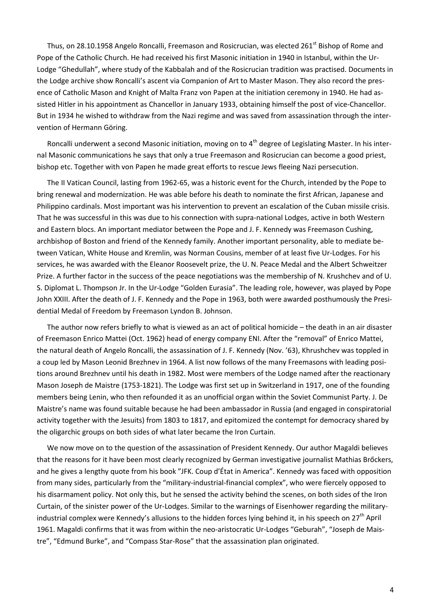Thus, on 28.10.1958 Angelo Roncalli, Freemason and Rosicrucian, was elected 261<sup>st</sup> Bishop of Rome and Pope of the Catholic Church. He had received his first Masonic initiation in 1940 in Istanbul, within the Ur-Lodge "Ghedullah", where study of the Kabbalah and of the Rosicrucian tradition was practised. Documents in the Lodge archive show Roncalli's ascent via Companion of Art to Master Mason. They also record the presence of Catholic Mason and Knight of Malta Franz von Papen at the initiation ceremony in 1940. He had assisted Hitler in his appointment as Chancellor in January 1933, obtaining himself the post of vice-Chancellor. But in 1934 he wished to withdraw from the Nazi regime and was saved from assassination through the intervention of Hermann Göring.

Roncalli underwent a second Masonic initiation, moving on to 4<sup>th</sup> degree of Legislating Master. In his internal Masonic communications he says that only a true Freemason and Rosicrucian can become a good priest, bishop etc. Together with von Papen he made great efforts to rescue Jews fleeing Nazi persecution.

The II Vatican Council, lasting from 1962-65, was a historic event for the Church, intended by the Pope to bring renewal and modernization. He was able before his death to nominate the first African, Japanese and Philippino cardinals. Most important was his intervention to prevent an escalation of the Cuban missile crisis. That he was successful in this was due to his connection with supra-national Lodges, active in both Western and Eastern blocs. An important mediator between the Pope and J. F. Kennedy was Freemason Cushing, archbishop of Boston and friend of the Kennedy family. Another important personality, able to mediate between Vatican, White House and Kremlin, was Norman Cousins, member of at least five Ur-Lodges. For his services, he was awarded with the Eleanor Roosevelt prize, the U. N. Peace Medal and the Albert Schweitzer Prize. A further factor in the success of the peace negotiations was the membership of N. Krushchev and of U. S. Diplomat L. Thompson Jr. In the Ur-Lodge "Golden Eurasia". The leading role, however, was played by Pope John XXIII. After the death of J. F. Kennedy and the Pope in 1963, both were awarded posthumously the Presidential Medal of Freedom by Freemason Lyndon B. Johnson.

The author now refers briefly to what is viewed as an act of political homicide – the death in an air disaster of Freemason Enrico Mattei (Oct. 1962) head of energy company ENI. After the "removal" of Enrico Mattei, the natural death of Angelo Roncalli, the assassination of J. F. Kennedy (Nov. '63), Khrushchev was toppled in a coup led by Mason Leonid Brezhnev in 1964. A list now follows of the many Freemasons with leading positions around Brezhnev until his death in 1982. Most were members of the Lodge named after the reactionary Mason Joseph de Maistre (1753-1821). The Lodge was first set up in Switzerland in 1917, one of the founding members being Lenin, who then refounded it as an unofficial organ within the Soviet Communist Party. J. De Maistre's name was found suitable because he had been ambassador in Russia (and engaged in conspiratorial activity together with the Jesuits) from 1803 to 1817, and epitomized the contempt for democracy shared by the oligarchic groups on both sides of what later became the Iron Curtain.

We now move on to the question of the assassination of President Kennedy. Our author Magaldi believes that the reasons for it have been most clearly recognized by German investigative journalist Mathias Brőckers, and he gives a lengthy quote from his book "JFK. Coup d'État in America". Kennedy was faced with opposition from many sides, particularly from the "military-industrial-financial complex", who were fiercely opposed to his disarmament policy. Not only this, but he sensed the activity behind the scenes, on both sides of the Iron Curtain, of the sinister power of the Ur-Lodges. Similar to the warnings of Eisenhower regarding the militaryindustrial complex were Kennedy's allusions to the hidden forces lying behind it, in his speech on 27<sup>th</sup> April 1961. Magaldi confirms that it was from within the neo-aristocratic Ur-Lodges "Geburah", "Joseph de Maistre", "Edmund Burke", and "Compass Star-Rose" that the assassination plan originated.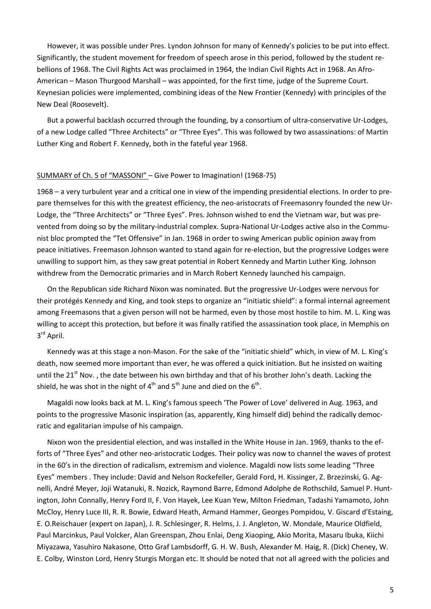However, it was possible under Pres. Lyndon Johnson for many of Kennedy's policies to be put into effect. Significantly, the student movement for freedom of speech arose in this period, followed by the student rebellions of 1968. The Civil Rights Act was proclaimed in 1964, the Indian Civil Rights Act in 1968. An Afro-American – Mason Thurgood Marshall – was appointed, for the first time, judge of the Supreme Court. Keynesian policies were implemented, combining ideas of the New Frontier (Kennedy) with principles of the New Deal (Roosevelt).

But a powerful backlash occurred through the founding, by a consortium of ultra-conservative Ur-Lodges, of a new Lodge called "Three Architects" or "Three Eyes". This was followed by two assassinations: of Martin Luther King and Robert F. Kennedy, both in the fateful year 1968.

#### SUMMARY of Ch. 5 of "MASSONI" – Give Power to Imagination! (1968-75)

1968 – a very turbulent year and a critical one in view of the impending presidential elections. In order to prepare themselves for this with the greatest efficiency, the neo-aristocrats of Freemasonry founded the new Ur-Lodge, the "Three Architects" or "Three Eyes". Pres. Johnson wished to end the Vietnam war, but was prevented from doing so by the military-industrial complex. Supra-National Ur-Lodges active also in the Communist bloc prompted the "Tet Offensive" in Jan. 1968 in order to swing American public opinion away from peace initiatives. Freemason Johnson wanted to stand again for re-election, but the progressive Lodges were unwilling to support him, as they saw great potential in Robert Kennedy and Martin Luther King. Johnson withdrew from the Democratic primaries and in March Robert Kennedy launched his campaign.

On the Republican side Richard Nixon was nominated. But the progressive Ur-Lodges were nervous for their protégés Kennedy and King, and took steps to organize an "initiatic shield": a formal internal agreement among Freemasons that a given person will not be harmed, even by those most hostile to him. M. L. King was willing to accept this protection, but before it was finally ratified the assassination took place, in Memphis on 3<sup>rd</sup> April.

Kennedy was at this stage a non-Mason. For the sake of the "initiatic shield" which, in view of M. L. King's death, now seemed more important than ever, he was offered a quick initiation. But he insisted on waiting until the 21<sup>st</sup> Nov., the date between his own birthday and that of his brother John's death. Lacking the shield, he was shot in the night of  $4<sup>th</sup>$  and  $5<sup>th</sup>$  June and died on the  $6<sup>th</sup>$ .

Magaldi now looks back at M. L. King's famous speech 'The Power of Love' delivered in Aug. 1963, and points to the progressive Masonic inspiration (as, apparently, King himself did) behind the radically democratic and egalitarian impulse of his campaign.

Nixon won the presidential election, and was installed in the White House in Jan. 1969, thanks to the efforts of "Three Eyes" and other neo-aristocratic Lodges. Their policy was now to channel the waves of protest in the 60's in the direction of radicalism, extremism and violence. Magaldi now lists some leading "Three Eyes" members . They include: David and Nelson Rockefeller, Gerald Ford, H. Kissinger, Z. Brzezinski, G. Agnelli, André Meyer, Joji Watanuki, R. Nozick, Raymond Barre, Edmond Adolphe de Rothschild, Samuel P. Huntington, John Connally, Henry Ford II, F. Von Hayek, Lee Kuan Yew, Milton Friedman, Tadashi Yamamoto, John McCloy, Henry Luce III, R. R. Bowie, Edward Heath, Armand Hammer, Georges Pompidou, V. Giscard d'Estaing, E. O.Reischauer (expert on Japan), J. R. Schlesinger, R. Helms, J. J. Angleton, W. Mondale, Maurice Oldfield, Paul Marcinkus, Paul Volcker, Alan Greenspan, Zhou Enlai, Deng Xiaoping, Akio Morita, Masaru Ibuka, Kiichi Miyazawa, Yasuhiro Nakasone, Otto Graf Lambsdorff, G. H. W. Bush, Alexander M. Haig, R. (Dick) Cheney, W. E. Colby, Winston Lord, Henry Sturgis Morgan etc. It should be noted that not all agreed with the policies and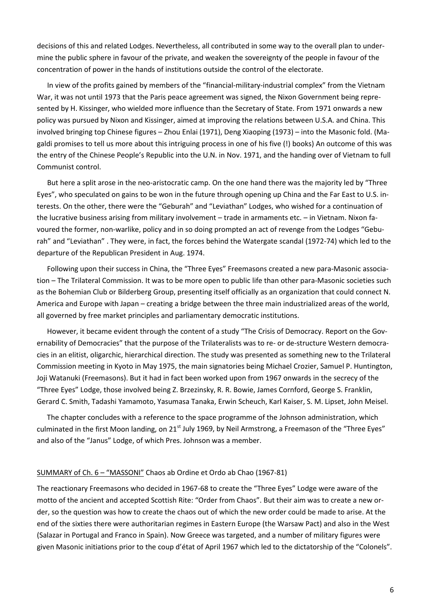decisions of this and related Lodges. Nevertheless, all contributed in some way to the overall plan to undermine the public sphere in favour of the private, and weaken the sovereignty of the people in favour of the concentration of power in the hands of institutions outside the control of the electorate.

In view of the profits gained by members of the "financial-military-industrial complex" from the Vietnam War, it was not until 1973 that the Paris peace agreement was signed, the Nixon Government being represented by H. Kissinger, who wielded more influence than the Secretary of State. From 1971 onwards a new policy was pursued by Nixon and Kissinger, aimed at improving the relations between U.S.A. and China. This involved bringing top Chinese figures – Zhou Enlai (1971), Deng Xiaoping (1973) – into the Masonic fold. (Magaldi promises to tell us more about this intriguing process in one of his five (!) books) An outcome of this was the entry of the Chinese People's Republic into the U.N. in Nov. 1971, and the handing over of Vietnam to full Communist control.

But here a split arose in the neo-aristocratic camp. On the one hand there was the majority led by "Three Eyes", who speculated on gains to be won in the future through opening up China and the Far East to U.S. interests. On the other, there were the "Geburah" and "Leviathan" Lodges, who wished for a continuation of the lucrative business arising from military involvement – trade in armaments etc. – in Vietnam. Nixon favoured the former, non-warlike, policy and in so doing prompted an act of revenge from the Lodges "Geburah" and "Leviathan" . They were, in fact, the forces behind the Watergate scandal (1972-74) which led to the departure of the Republican President in Aug. 1974.

Following upon their success in China, the "Three Eyes" Freemasons created a new para-Masonic association – The Trilateral Commission. It was to be more open to public life than other para-Masonic societies such as the Bohemian Club or Bilderberg Group, presenting itself officially as an organization that could connect N. America and Europe with Japan – creating a bridge between the three main industrialized areas of the world, all governed by free market principles and parliamentary democratic institutions.

However, it became evident through the content of a study "The Crisis of Democracy. Report on the Governability of Democracies" that the purpose of the Trilateralists was to re- or de-structure Western democracies in an elitist, oligarchic, hierarchical direction. The study was presented as something new to the Trilateral Commission meeting in Kyoto in May 1975, the main signatories being Michael Crozier, Samuel P. Huntington, Joji Watanuki (Freemasons). But it had in fact been worked upon from 1967 onwards in the secrecy of the "Three Eyes" Lodge, those involved being Z. Brzezinsky, R. R. Bowie, James Cornford, George S. Franklin, Gerard C. Smith, Tadashi Yamamoto, Yasumasa Tanaka, Erwin Scheuch, Karl Kaiser, S. M. Lipset, John Meisel.

The chapter concludes with a reference to the space programme of the Johnson administration, which culminated in the first Moon landing, on 21<sup>st</sup> July 1969, by Neil Armstrong, a Freemason of the "Three Eyes" and also of the "Janus" Lodge, of which Pres. Johnson was a member.

#### SUMMARY of Ch. 6 – "MASSONI" Chaos ab Ordine et Ordo ab Chao (1967-81)

The reactionary Freemasons who decided in 1967-68 to create the "Three Eyes" Lodge were aware of the motto of the ancient and accepted Scottish Rite: "Order from Chaos". But their aim was to create a new order, so the question was how to create the chaos out of which the new order could be made to arise. At the end of the sixties there were authoritarian regimes in Eastern Europe (the Warsaw Pact) and also in the West (Salazar in Portugal and Franco in Spain). Now Greece was targeted, and a number of military figures were given Masonic initiations prior to the coup d'état of April 1967 which led to the dictatorship of the "Colonels".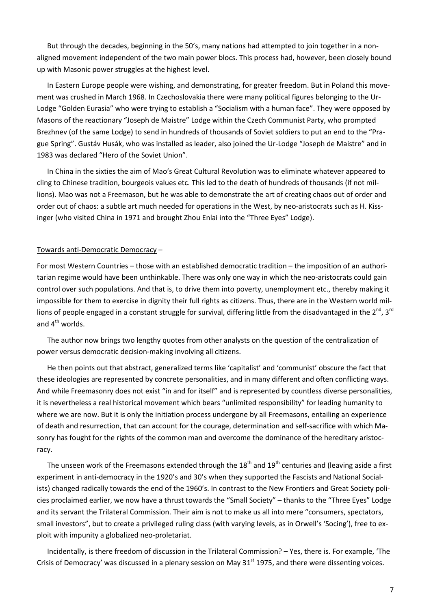But through the decades, beginning in the 50's, many nations had attempted to join together in a nonaligned movement independent of the two main power blocs. This process had, however, been closely bound up with Masonic power struggles at the highest level.

In Eastern Europe people were wishing, and demonstrating, for greater freedom. But in Poland this movement was crushed in March 1968. In Czechoslovakia there were many political figures belonging to the Ur-Lodge "Golden Eurasia" who were trying to establish a "Socialism with a human face". They were opposed by Masons of the reactionary "Joseph de Maistre" Lodge within the Czech Communist Party, who prompted Brezhnev (of the same Lodge) to send in hundreds of thousands of Soviet soldiers to put an end to the "Prague Spring". Gustáv Husák, who was installed as leader, also joined the Ur-Lodge "Joseph de Maistre" and in 1983 was declared "Hero of the Soviet Union".

In China in the sixties the aim of Mao's Great Cultural Revolution was to eliminate whatever appeared to cling to Chinese tradition, bourgeois values etc. This led to the death of hundreds of thousands (if not millions). Mao was not a Freemason, but he was able to demonstrate the art of creating chaos out of order and order out of chaos: a subtle art much needed for operations in the West, by neo-aristocrats such as H. Kissinger (who visited China in 1971 and brought Zhou Enlai into the "Three Eyes" Lodge).

#### Towards anti-Democratic Democracy –

For most Western Countries – those with an established democratic tradition – the imposition of an authoritarian regime would have been unthinkable. There was only one way in which the neo-aristocrats could gain control over such populations. And that is, to drive them into poverty, unemployment etc., thereby making it impossible for them to exercise in dignity their full rights as citizens. Thus, there are in the Western world millions of people engaged in a constant struggle for survival, differing little from the disadvantaged in the  $2^{nd}$ ,  $3^{rd}$ and  $4^{th}$  worlds.

The author now brings two lengthy quotes from other analysts on the question of the centralization of power versus democratic decision-making involving all citizens.

He then points out that abstract, generalized terms like 'capitalist' and 'communist' obscure the fact that these ideologies are represented by concrete personalities, and in many different and often conflicting ways. And while Freemasonry does not exist "in and for itself" and is represented by countless diverse personalities, it is nevertheless a real historical movement which bears "unlimited responsibility" for leading humanity to where we are now. But it is only the initiation process undergone by all Freemasons, entailing an experience of death and resurrection, that can account for the courage, determination and self-sacrifice with which Masonry has fought for the rights of the common man and overcome the dominance of the hereditary aristocracy.

The unseen work of the Freemasons extended through the  $18<sup>th</sup>$  and  $19<sup>th</sup>$  centuries and (leaving aside a first experiment in anti-democracy in the 1920's and 30's when they supported the Fascists and National Socialists) changed radically towards the end of the 1960's. In contrast to the New Frontiers and Great Society policies proclaimed earlier, we now have a thrust towards the "Small Society" – thanks to the "Three Eyes" Lodge and its servant the Trilateral Commission. Their aim is not to make us all into mere "consumers, spectators, small investors", but to create a privileged ruling class (with varying levels, as in Orwell's 'Socing'), free to exploit with impunity a globalized neo-proletariat.

Incidentally, is there freedom of discussion in the Trilateral Commission? – Yes, there is. For example, 'The Crisis of Democracy' was discussed in a plenary session on May  $31<sup>st</sup>$  1975, and there were dissenting voices.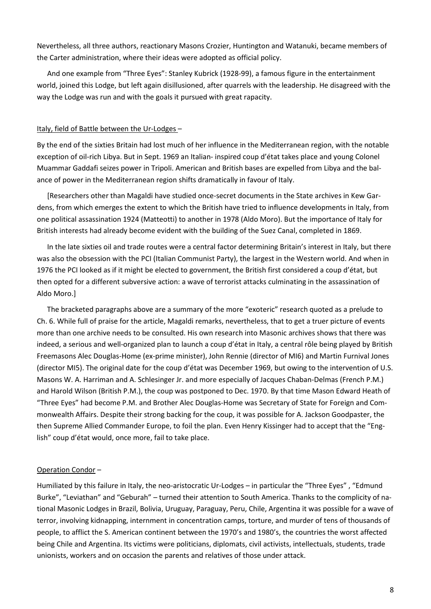Nevertheless, all three authors, reactionary Masons Crozier, Huntington and Watanuki, became members of the Carter administration, where their ideas were adopted as official policy.

And one example from "Three Eyes": Stanley Kubrick (1928-99), a famous figure in the entertainment world, joined this Lodge, but left again disillusioned, after quarrels with the leadership. He disagreed with the way the Lodge was run and with the goals it pursued with great rapacity.

### Italy, field of Battle between the Ur-Lodges –

By the end of the sixties Britain had lost much of her influence in the Mediterranean region, with the notable exception of oil-rich Libya. But in Sept. 1969 an Italian- inspired coup d'état takes place and young Colonel Muammar Gaddafi seizes power in Tripoli. American and British bases are expelled from Libya and the balance of power in the Mediterranean region shifts dramatically in favour of Italy.

[Researchers other than Magaldi have studied once-secret documents in the State archives in Kew Gardens, from which emerges the extent to which the British have tried to influence developments in Italy, from one political assassination 1924 (Matteotti) to another in 1978 (Aldo Moro). But the importance of Italy for British interests had already become evident with the building of the Suez Canal, completed in 1869.

In the late sixties oil and trade routes were a central factor determining Britain's interest in Italy, but there was also the obsession with the PCI (Italian Communist Party), the largest in the Western world. And when in 1976 the PCI looked as if it might be elected to government, the British first considered a coup d'état, but then opted for a different subversive action: a wave of terrorist attacks culminating in the assassination of Aldo Moro.]

The bracketed paragraphs above are a summary of the more "exoteric" research quoted as a prelude to Ch. 6. While full of praise for the article, Magaldi remarks, nevertheless, that to get a truer picture of events more than one archive needs to be consulted. His own research into Masonic archives shows that there was indeed, a serious and well-organized plan to launch a coup d'état in Italy, a central rôle being played by British Freemasons Alec Douglas-Home (ex-prime minister), John Rennie (director of MI6) and Martin Furnival Jones (director MI5). The original date for the coup d'état was December 1969, but owing to the intervention of U.S. Masons W. A. Harriman and A. Schlesinger Jr. and more especially of Jacques Chaban-Delmas (French P.M.) and Harold Wilson (British P.M.), the coup was postponed to Dec. 1970. By that time Mason Edward Heath of "Three Eyes" had become P.M. and Brother Alec Douglas-Home was Secretary of State for Foreign and Commonwealth Affairs. Despite their strong backing for the coup, it was possible for A. Jackson Goodpaster, the then Supreme Allied Commander Europe, to foil the plan. Even Henry Kissinger had to accept that the "English" coup d'état would, once more, fail to take place.

# Operation Condor –

Humiliated by this failure in Italy, the neo-aristocratic Ur-Lodges – in particular the "Three Eyes" , "Edmund Burke", "Leviathan" and "Geburah" – turned their attention to South America. Thanks to the complicity of national Masonic Lodges in Brazil, Bolivia, Uruguay, Paraguay, Peru, Chile, Argentina it was possible for a wave of terror, involving kidnapping, internment in concentration camps, torture, and murder of tens of thousands of people, to afflict the S. American continent between the 1970's and 1980's, the countries the worst affected being Chile and Argentina. Its victims were politicians, diplomats, civil activists, intellectuals, students, trade unionists, workers and on occasion the parents and relatives of those under attack.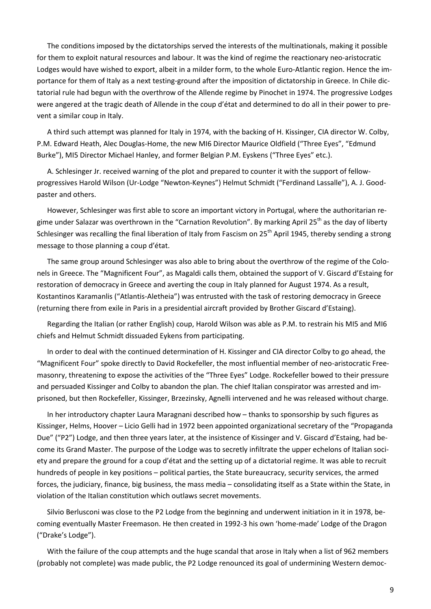The conditions imposed by the dictatorships served the interests of the multinationals, making it possible for them to exploit natural resources and labour. It was the kind of regime the reactionary neo-aristocratic Lodges would have wished to export, albeit in a milder form, to the whole Euro-Atlantic region. Hence the importance for them of Italy as a next testing-ground after the imposition of dictatorship in Greece. In Chile dictatorial rule had begun with the overthrow of the Allende regime by Pinochet in 1974. The progressive Lodges were angered at the tragic death of Allende in the coup d'état and determined to do all in their power to prevent a similar coup in Italy.

A third such attempt was planned for Italy in 1974, with the backing of H. Kissinger, CIA director W. Colby, P.M. Edward Heath, Alec Douglas-Home, the new MI6 Director Maurice Oldfield ("Three Eyes", "Edmund Burke"), MI5 Director Michael Hanley, and former Belgian P.M. Eyskens ("Three Eyes" etc.).

A. Schlesinger Jr. received warning of the plot and prepared to counter it with the support of fellowprogressives Harold Wilson (Ur-Lodge "Newton-Keynes") Helmut Schmidt ("Ferdinand Lassalle"), A. J. Goodpaster and others.

However, Schlesinger was first able to score an important victory in Portugal, where the authoritarian regime under Salazar was overthrown in the "Carnation Revolution". By marking April 25<sup>th</sup> as the day of liberty Schlesinger was recalling the final liberation of Italy from Fascism on 25<sup>th</sup> April 1945, thereby sending a strong message to those planning a coup d'état.

The same group around Schlesinger was also able to bring about the overthrow of the regime of the Colonels in Greece. The "Magnificent Four", as Magaldi calls them, obtained the support of V. Giscard d'Estaing for restoration of democracy in Greece and averting the coup in Italy planned for August 1974. As a result, Kostantinos Karamanlis ("Atlantis-Aletheia") was entrusted with the task of restoring democracy in Greece (returning there from exile in Paris in a presidential aircraft provided by Brother Giscard d'Estaing).

Regarding the Italian (or rather English) coup, Harold Wilson was able as P.M. to restrain his MI5 and MI6 chiefs and Helmut Schmidt dissuaded Eykens from participating.

In order to deal with the continued determination of H. Kissinger and CIA director Colby to go ahead, the "Magnificent Four" spoke directly to David Rockefeller, the most influential member of neo-aristocratic Freemasonry, threatening to expose the activities of the "Three Eyes" Lodge. Rockefeller bowed to their pressure and persuaded Kissinger and Colby to abandon the plan. The chief Italian conspirator was arrested and imprisoned, but then Rockefeller, Kissinger, Brzezinsky, Agnelli intervened and he was released without charge.

In her introductory chapter Laura Maragnani described how – thanks to sponsorship by such figures as Kissinger, Helms, Hoover – Licio Gelli had in 1972 been appointed organizational secretary of the "Propaganda Due" ("P2") Lodge, and then three years later, at the insistence of Kissinger and V. Giscard d'Estaing, had become its Grand Master. The purpose of the Lodge was to secretly infiltrate the upper echelons of Italian society and prepare the ground for a coup d'état and the setting up of a dictatorial regime. It was able to recruit hundreds of people in key positions – political parties, the State bureaucracy, security services, the armed forces, the judiciary, finance, big business, the mass media – consolidating itself as a State within the State, in violation of the Italian constitution which outlaws secret movements.

Silvio Berlusconi was close to the P2 Lodge from the beginning and underwent initiation in it in 1978, becoming eventually Master Freemason. He then created in 1992-3 his own 'home-made' Lodge of the Dragon ("Drake's Lodge").

With the failure of the coup attempts and the huge scandal that arose in Italy when a list of 962 members (probably not complete) was made public, the P2 Lodge renounced its goal of undermining Western democ-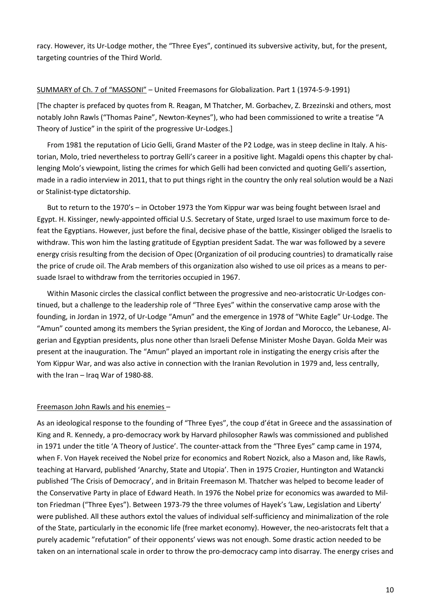racy. However, its Ur-Lodge mother, the "Three Eyes", continued its subversive activity, but, for the present, targeting countries of the Third World.

### SUMMARY of Ch. 7 of "MASSONI" – United Freemasons for Globalization. Part 1 (1974-5-9-1991)

[The chapter is prefaced by quotes from R. Reagan, M Thatcher, M. Gorbachev, Z. Brzezinski and others, most notably John Rawls ("Thomas Paine", Newton-Keynes"), who had been commissioned to write a treatise "A Theory of Justice" in the spirit of the progressive Ur-Lodges.]

From 1981 the reputation of Licio Gelli, Grand Master of the P2 Lodge, was in steep decline in Italy. A historian, Molo, tried nevertheless to portray Gelli's career in a positive light. Magaldi opens this chapter by challenging Molo's viewpoint, listing the crimes for which Gelli had been convicted and quoting Gelli's assertion, made in a radio interview in 2011, that to put things right in the country the only real solution would be a Nazi or Stalinist-type dictatorship.

But to return to the 1970's – in October 1973 the Yom Kippur war was being fought between Israel and Egypt. H. Kissinger, newly-appointed official U.S. Secretary of State, urged Israel to use maximum force to defeat the Egyptians. However, just before the final, decisive phase of the battle, Kissinger obliged the Israelis to withdraw. This won him the lasting gratitude of Egyptian president Sadat. The war was followed by a severe energy crisis resulting from the decision of Opec (Organization of oil producing countries) to dramatically raise the price of crude oil. The Arab members of this organization also wished to use oil prices as a means to persuade Israel to withdraw from the territories occupied in 1967.

Within Masonic circles the classical conflict between the progressive and neo-aristocratic Ur-Lodges continued, but a challenge to the leadership role of "Three Eyes" within the conservative camp arose with the founding, in Jordan in 1972, of Ur-Lodge "Amun" and the emergence in 1978 of "White Eagle" Ur-Lodge. The "Amun" counted among its members the Syrian president, the King of Jordan and Morocco, the Lebanese, Algerian and Egyptian presidents, plus none other than Israeli Defense Minister Moshe Dayan. Golda Meir was present at the inauguration. The "Amun" played an important role in instigating the energy crisis after the Yom Kippur War, and was also active in connection with the Iranian Revolution in 1979 and, less centrally, with the Iran – Iraq War of 1980-88.

### Freemason John Rawls and his enemies –

As an ideological response to the founding of "Three Eyes", the coup d'état in Greece and the assassination of King and R. Kennedy, a pro-democracy work by Harvard philosopher Rawls was commissioned and published in 1971 under the title 'A Theory of Justice'. The counter-attack from the "Three Eyes" camp came in 1974, when F. Von Hayek received the Nobel prize for economics and Robert Nozick, also a Mason and, like Rawls, teaching at Harvard, published 'Anarchy, State and Utopia'. Then in 1975 Crozier, Huntington and Watancki published 'The Crisis of Democracy', and in Britain Freemason M. Thatcher was helped to become leader of the Conservative Party in place of Edward Heath. In 1976 the Nobel prize for economics was awarded to Milton Friedman ("Three Eyes"). Between 1973-79 the three volumes of Hayek's 'Law, Legislation and Liberty' were published. All these authors extol the values of individual self-sufficiency and minimalization of the role of the State, particularly in the economic life (free market economy). However, the neo-aristocrats felt that a purely academic "refutation" of their opponents' views was not enough. Some drastic action needed to be taken on an international scale in order to throw the pro-democracy camp into disarray. The energy crises and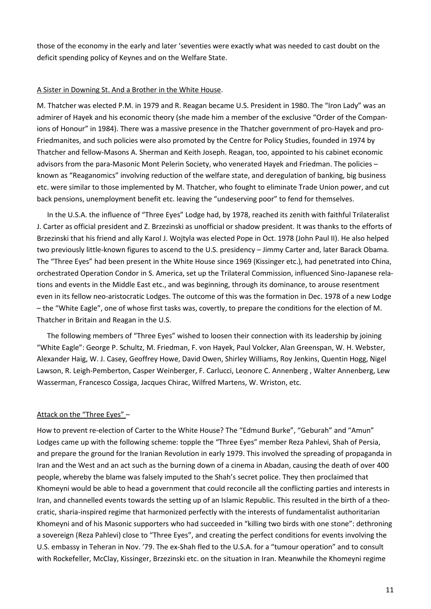those of the economy in the early and later 'seventies were exactly what was needed to cast doubt on the deficit spending policy of Keynes and on the Welfare State.

### A Sister in Downing St. And a Brother in the White House.

M. Thatcher was elected P.M. in 1979 and R. Reagan became U.S. President in 1980. The "Iron Lady" was an admirer of Hayek and his economic theory (she made him a member of the exclusive "Order of the Companions of Honour" in 1984). There was a massive presence in the Thatcher government of pro-Hayek and pro-Friedmanites, and such policies were also promoted by the Centre for Policy Studies, founded in 1974 by Thatcher and fellow-Masons A. Sherman and Keith Joseph. Reagan, too, appointed to his cabinet economic advisors from the para-Masonic Mont Pelerin Society, who venerated Hayek and Friedman. The policies – known as "Reaganomics" involving reduction of the welfare state, and deregulation of banking, big business etc. were similar to those implemented by M. Thatcher, who fought to eliminate Trade Union power, and cut back pensions, unemployment benefit etc. leaving the "undeserving poor" to fend for themselves.

In the U.S.A. the influence of "Three Eyes" Lodge had, by 1978, reached its zenith with faithful Trilateralist J. Carter as official president and Z. Brzezinski as unofficial or shadow president. It was thanks to the efforts of Brzezinski that his friend and ally Karol J. Wojtyla was elected Pope in Oct. 1978 (John Paul II). He also helped two previously little-known figures to ascend to the U.S. presidency – Jimmy Carter and, later Barack Obama. The "Three Eyes" had been present in the White House since 1969 (Kissinger etc.), had penetrated into China, orchestrated Operation Condor in S. America, set up the Trilateral Commission, influenced Sino-Japanese relations and events in the Middle East etc., and was beginning, through its dominance, to arouse resentment even in its fellow neo-aristocratic Lodges. The outcome of this was the formation in Dec. 1978 of a new Lodge – the "White Eagle", one of whose first tasks was, covertly, to prepare the conditions for the election of M. Thatcher in Britain and Reagan in the U.S.

The following members of "Three Eyes" wished to loosen their connection with its leadership by joining "White Eagle": George P. Schultz, M. Friedman, F. von Hayek, Paul Volcker, Alan Greenspan, W. H. Webster, Alexander Haig, W. J. Casey, Geoffrey Howe, David Owen, Shirley Williams, Roy Jenkins, Quentin Hogg, Nigel Lawson, R. Leigh-Pemberton, Casper Weinberger, F. Carlucci, Leonore C. Annenberg , Walter Annenberg, Lew Wasserman, Francesco Cossiga, Jacques Chirac, Wilfred Martens, W. Wriston, etc.

### Attack on the "Three Eyes" -

How to prevent re-election of Carter to the White House? The "Edmund Burke", "Geburah" and "Amun" Lodges came up with the following scheme: topple the "Three Eyes" member Reza Pahlevi, Shah of Persia, and prepare the ground for the Iranian Revolution in early 1979. This involved the spreading of propaganda in Iran and the West and an act such as the burning down of a cinema in Abadan, causing the death of over 400 people, whereby the blame was falsely imputed to the Shah's secret police. They then proclaimed that Khomeyni would be able to head a government that could reconcile all the conflicting parties and interests in Iran, and channelled events towards the setting up of an Islamic Republic. This resulted in the birth of a theocratic, sharia-inspired regime that harmonized perfectly with the interests of fundamentalist authoritarian Khomeyni and of his Masonic supporters who had succeeded in "killing two birds with one stone": dethroning a sovereign (Reza Pahlevi) close to "Three Eyes", and creating the perfect conditions for events involving the U.S. embassy in Teheran in Nov. '79. The ex-Shah fled to the U.S.A. for a "tumour operation" and to consult with Rockefeller, McClay, Kissinger, Brzezinski etc. on the situation in Iran. Meanwhile the Khomeyni regime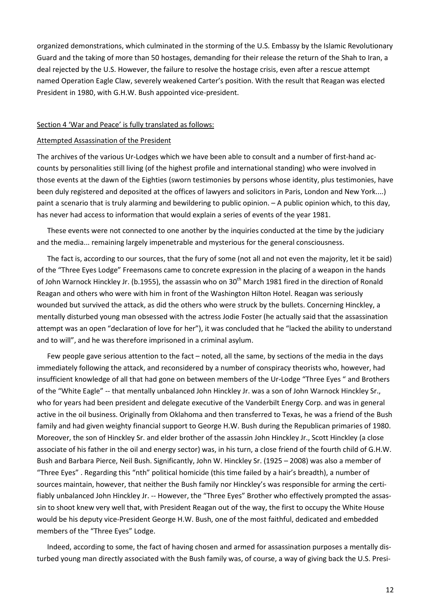organized demonstrations, which culminated in the storming of the U.S. Embassy by the Islamic Revolutionary Guard and the taking of more than 50 hostages, demanding for their release the return of the Shah to Iran, a deal rejected by the U.S. However, the failure to resolve the hostage crisis, even after a rescue attempt named Operation Eagle Claw, severely weakened Carter's position. With the result that Reagan was elected President in 1980, with G.H.W. Bush appointed vice-president.

#### Section 4 'War and Peace' is fully translated as follows:

#### Attempted Assassination of the President

The archives of the various Ur-Lodges which we have been able to consult and a number of first-hand accounts by personalities still living (of the highest profile and international standing) who were involved in those events at the dawn of the Eighties (sworn testimonies by persons whose identity, plus testimonies, have been duly registered and deposited at the offices of lawyers and solicitors in Paris, London and New York....) paint a scenario that is truly alarming and bewildering to public opinion. – A public opinion which, to this day, has never had access to information that would explain a series of events of the year 1981.

These events were not connected to one another by the inquiries conducted at the time by the judiciary and the media... remaining largely impenetrable and mysterious for the general consciousness.

The fact is, according to our sources, that the fury of some (not all and not even the majority, let it be said) of the "Three Eyes Lodge" Freemasons came to concrete expression in the placing of a weapon in the hands of John Warnock Hinckley Jr. (b.1955), the assassin who on 30<sup>th</sup> March 1981 fired in the direction of Ronald Reagan and others who were with him in front of the Washington Hilton Hotel. Reagan was seriously wounded but survived the attack, as did the others who were struck by the bullets. Concerning Hinckley, a mentally disturbed young man obsessed with the actress Jodie Foster (he actually said that the assassination attempt was an open "declaration of love for her"), it was concluded that he "lacked the ability to understand and to will", and he was therefore imprisoned in a criminal asylum.

Few people gave serious attention to the fact – noted, all the same, by sections of the media in the days immediately following the attack, and reconsidered by a number of conspiracy theorists who, however, had insufficient knowledge of all that had gone on between members of the Ur-Lodge "Three Eyes " and Brothers of the "White Eagle" -- that mentally unbalanced John Hinckley Jr. was a son of John Warnock Hinckley Sr., who for years had been president and delegate executive of the Vanderbilt Energy Corp. and was in general active in the oil business. Originally from Oklahoma and then transferred to Texas, he was a friend of the Bush family and had given weighty financial support to George H.W. Bush during the Republican primaries of 1980. Moreover, the son of Hinckley Sr. and elder brother of the assassin John Hinckley Jr., Scott Hinckley (a close associate of his father in the oil and energy sector) was, in his turn, a close friend of the fourth child of G.H.W. Bush and Barbara Pierce, Neil Bush. Significantly, John W. Hinckley Sr. (1925 – 2008) was also a member of "Three Eyes" . Regarding this "nth" political homicide (this time failed by a hair's breadth), a number of sources maintain, however, that neither the Bush family nor Hinckley's was responsible for arming the certifiably unbalanced John Hinckley Jr. -- However, the "Three Eyes" Brother who effectively prompted the assassin to shoot knew very well that, with President Reagan out of the way, the first to occupy the White House would be his deputy vice-President George H.W. Bush, one of the most faithful, dedicated and embedded members of the "Three Eyes" Lodge.

Indeed, according to some, the fact of having chosen and armed for assassination purposes a mentally disturbed young man directly associated with the Bush family was, of course, a way of giving back the U.S. Presi-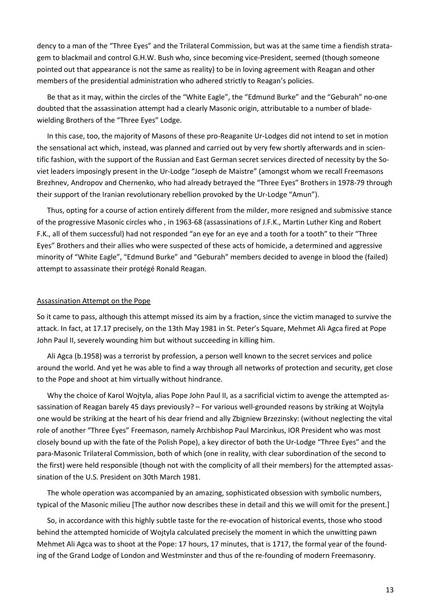dency to a man of the "Three Eyes" and the Trilateral Commission, but was at the same time a fiendish stratagem to blackmail and control G.H.W. Bush who, since becoming vice-President, seemed (though someone pointed out that appearance is not the same as reality) to be in loving agreement with Reagan and other members of the presidential administration who adhered strictly to Reagan's policies.

Be that as it may, within the circles of the "White Eagle", the "Edmund Burke" and the "Geburah" no-one doubted that the assassination attempt had a clearly Masonic origin, attributable to a number of bladewielding Brothers of the "Three Eyes" Lodge.

In this case, too, the majority of Masons of these pro-Reaganite Ur-Lodges did not intend to set in motion the sensational act which, instead, was planned and carried out by very few shortly afterwards and in scientific fashion, with the support of the Russian and East German secret services directed of necessity by the Soviet leaders imposingly present in the Ur-Lodge "Joseph de Maistre" (amongst whom we recall Freemasons Brezhnev, Andropov and Chernenko, who had already betrayed the "Three Eyes" Brothers in 1978-79 through their support of the Iranian revolutionary rebellion provoked by the Ur-Lodge "Amun").

Thus, opting for a course of action entirely different from the milder, more resigned and submissive stance of the progressive Masonic circles who , in 1963-68 (assassinations of J.F.K., Martin Luther King and Robert F.K., all of them successful) had not responded "an eye for an eye and a tooth for a tooth" to their "Three Eyes" Brothers and their allies who were suspected of these acts of homicide, a determined and aggressive minority of "White Eagle", "Edmund Burke" and "Geburah" members decided to avenge in blood the (failed) attempt to assassinate their protégé Ronald Reagan.

#### Assassination Attempt on the Pope

So it came to pass, although this attempt missed its aim by a fraction, since the victim managed to survive the attack. In fact, at 17.17 precisely, on the 13th May 1981 in St. Peter's Square, Mehmet Ali Agca fired at Pope John Paul II, severely wounding him but without succeeding in killing him.

Ali Agca (b.1958) was a terrorist by profession, a person well known to the secret services and police around the world. And yet he was able to find a way through all networks of protection and security, get close to the Pope and shoot at him virtually without hindrance.

Why the choice of Karol Wojtyla, alias Pope John Paul II, as a sacrificial victim to avenge the attempted assassination of Reagan barely 45 days previously? – For various well-grounded reasons by striking at Wojtyla one would be striking at the heart of his dear friend and ally Zbigniew Brzezinsky: (without neglecting the vital role of another "Three Eyes" Freemason, namely Archbishop Paul Marcinkus, IOR President who was most closely bound up with the fate of the Polish Pope), a key director of both the Ur-Lodge "Three Eyes" and the para-Masonic Trilateral Commission, both of which (one in reality, with clear subordination of the second to the first) were held responsible (though not with the complicity of all their members) for the attempted assassination of the U.S. President on 30th March 1981.

The whole operation was accompanied by an amazing, sophisticated obsession with symbolic numbers, typical of the Masonic milieu [The author now describes these in detail and this we will omit for the present.]

So, in accordance with this highly subtle taste for the re-evocation of historical events, those who stood behind the attempted homicide of Wojtyla calculated precisely the moment in which the unwitting pawn Mehmet Ali Agca was to shoot at the Pope: 17 hours, 17 minutes, that is 1717, the formal year of the founding of the Grand Lodge of London and Westminster and thus of the re-founding of modern Freemasonry.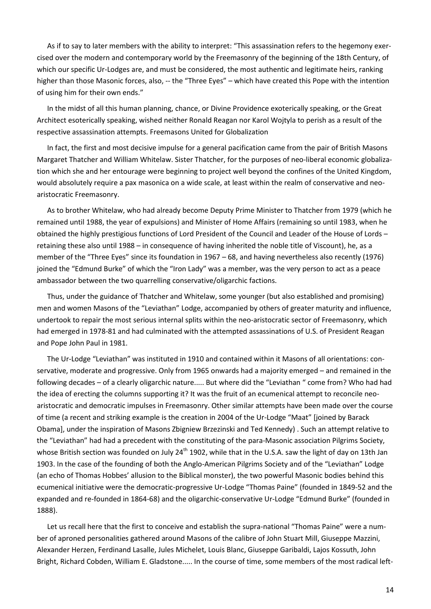As if to say to later members with the ability to interpret: "This assassination refers to the hegemony exercised over the modern and contemporary world by the Freemasonry of the beginning of the 18th Century, of which our specific Ur-Lodges are, and must be considered, the most authentic and legitimate heirs, ranking higher than those Masonic forces, also, -- the "Three Eyes" - which have created this Pope with the intention of using him for their own ends."

In the midst of all this human planning, chance, or Divine Providence exoterically speaking, or the Great Architect esoterically speaking, wished neither Ronald Reagan nor Karol Wojtyla to perish as a result of the respective assassination attempts. Freemasons United for Globalization

In fact, the first and most decisive impulse for a general pacification came from the pair of British Masons Margaret Thatcher and William Whitelaw. Sister Thatcher, for the purposes of neo-liberal economic globalization which she and her entourage were beginning to project well beyond the confines of the United Kingdom, would absolutely require a pax masonica on a wide scale, at least within the realm of conservative and neoaristocratic Freemasonry.

As to brother Whitelaw, who had already become Deputy Prime Minister to Thatcher from 1979 (which he remained until 1988, the year of expulsions) and Minister of Home Affairs (remaining so until 1983, when he obtained the highly prestigious functions of Lord President of the Council and Leader of the House of Lords – retaining these also until 1988 – in consequence of having inherited the noble title of Viscount), he, as a member of the "Three Eyes" since its foundation in 1967 – 68, and having nevertheless also recently (1976) joined the "Edmund Burke" of which the "Iron Lady" was a member, was the very person to act as a peace ambassador between the two quarrelling conservative/oligarchic factions.

Thus, under the guidance of Thatcher and Whitelaw, some younger (but also established and promising) men and women Masons of the "Leviathan" Lodge, accompanied by others of greater maturity and influence, undertook to repair the most serious internal splits within the neo-aristocratic sector of Freemasonry, which had emerged in 1978-81 and had culminated with the attempted assassinations of U.S. of President Reagan and Pope John Paul in 1981.

The Ur-Lodge "Leviathan" was instituted in 1910 and contained within it Masons of all orientations: conservative, moderate and progressive. Only from 1965 onwards had a majority emerged – and remained in the following decades – of a clearly oligarchic nature..... But where did the "Leviathan " come from? Who had had the idea of erecting the columns supporting it? It was the fruit of an ecumenical attempt to reconcile neoaristocratic and democratic impulses in Freemasonry. Other similar attempts have been made over the course of time (a recent and striking example is the creation in 2004 of the Ur-Lodge "Maat" [joined by Barack Obama], under the inspiration of Masons Zbigniew Brzezinski and Ted Kennedy) . Such an attempt relative to the "Leviathan" had had a precedent with the constituting of the para-Masonic association Pilgrims Society, whose British section was founded on July 24<sup>th</sup> 1902, while that in the U.S.A. saw the light of day on 13th Jan 1903. In the case of the founding of both the Anglo-American Pilgrims Society and of the "Leviathan" Lodge (an echo of Thomas Hobbes' allusion to the Biblical monster), the two powerful Masonic bodies behind this ecumenical initiative were the democratic-progressive Ur-Lodge "Thomas Paine" (founded in 1849-52 and the expanded and re-founded in 1864-68) and the oligarchic-conservative Ur-Lodge "Edmund Burke" (founded in 1888).

Let us recall here that the first to conceive and establish the supra-national "Thomas Paine" were a number of aproned personalities gathered around Masons of the calibre of John Stuart Mill, Giuseppe Mazzini, Alexander Herzen, Ferdinand Lasalle, Jules Michelet, Louis Blanc, Giuseppe Garibaldi, Lajos Kossuth, John Bright, Richard Cobden, William E. Gladstone..... In the course of time, some members of the most radical left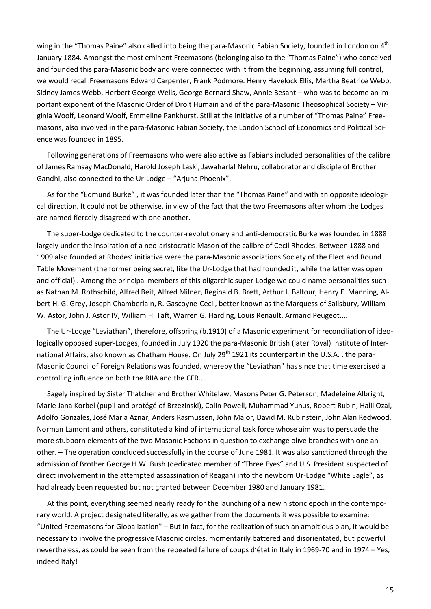wing in the "Thomas Paine" also called into being the para-Masonic Fabian Society, founded in London on 4<sup>th</sup> January 1884. Amongst the most eminent Freemasons (belonging also to the "Thomas Paine") who conceived and founded this para-Masonic body and were connected with it from the beginning, assuming full control, we would recall Freemasons Edward Carpenter, Frank Podmore. Henry Havelock Ellis, Martha Beatrice Webb, Sidney James Webb, Herbert George Wells, George Bernard Shaw, Annie Besant – who was to become an important exponent of the Masonic Order of Droit Humain and of the para-Masonic Theosophical Society – Virginia Woolf, Leonard Woolf, Emmeline Pankhurst. Still at the initiative of a number of "Thomas Paine" Freemasons, also involved in the para-Masonic Fabian Society, the London School of Economics and Political Science was founded in 1895.

Following generations of Freemasons who were also active as Fabians included personalities of the calibre of James Ramsay MacDonald, Harold Joseph Laski, Jawaharlal Nehru, collaborator and disciple of Brother Gandhi, also connected to the Ur-Lodge – "Arjuna Phoenix".

As for the "Edmund Burke" , it was founded later than the "Thomas Paine" and with an opposite ideological direction. It could not be otherwise, in view of the fact that the two Freemasons after whom the Lodges are named fiercely disagreed with one another.

The super-Lodge dedicated to the counter-revolutionary and anti-democratic Burke was founded in 1888 largely under the inspiration of a neo-aristocratic Mason of the calibre of Cecil Rhodes. Between 1888 and 1909 also founded at Rhodes' initiative were the para-Masonic associations Society of the Elect and Round Table Movement (the former being secret, like the Ur-Lodge that had founded it, while the latter was open and official) . Among the principal members of this oligarchic super-Lodge we could name personalities such as Nathan M. Rothschild, Alfred Beit, Alfred Milner, Reginald B. Brett, Arthur J. Balfour, Henry E. Manning, Albert H. G, Grey, Joseph Chamberlain, R. Gascoyne-Cecil, better known as the Marquess of Sailsbury, William W. Astor, John J. Astor IV, William H. Taft, Warren G. Harding, Louis Renault, Armand Peugeot....

The Ur-Lodge "Leviathan", therefore, offspring (b.1910) of a Masonic experiment for reconciliation of ideologically opposed super-Lodges, founded in July 1920 the para-Masonic British (later Royal) Institute of International Affairs, also known as Chatham House. On July 29<sup>th</sup> 1921 its counterpart in the U.S.A., the para-Masonic Council of Foreign Relations was founded, whereby the "Leviathan" has since that time exercised a controlling influence on both the RIIA and the CFR....

Sagely inspired by Sister Thatcher and Brother Whitelaw, Masons Peter G. Peterson, Madeleine Albright, Marie Jana Korbel (pupil and protégé of Brzezinski), Colin Powell, Muhammad Yunus, Robert Rubin, Halil Ozal, Adolfo Gonzales, José Maria Aznar, Anders Rasmussen, John Major, David M. Rubinstein, John Alan Redwood, Norman Lamont and others, constituted a kind of international task force whose aim was to persuade the more stubborn elements of the two Masonic Factions in question to exchange olive branches with one another. – The operation concluded successfully in the course of June 1981. It was also sanctioned through the admission of Brother George H.W. Bush (dedicated member of "Three Eyes" and U.S. President suspected of direct involvement in the attempted assassination of Reagan) into the newborn Ur-Lodge "White Eagle", as had already been requested but not granted between December 1980 and January 1981.

At this point, everything seemed nearly ready for the launching of a new historic epoch in the contemporary world. A project designated literally, as we gather from the documents it was possible to examine: "United Freemasons for Globalization" – But in fact, for the realization of such an ambitious plan, it would be necessary to involve the progressive Masonic circles, momentarily battered and disorientated, but powerful nevertheless, as could be seen from the repeated failure of coups d'état in Italy in 1969-70 and in 1974 – Yes, indeed Italy!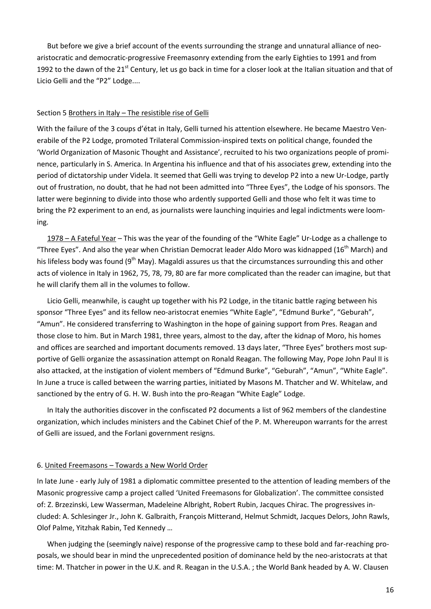But before we give a brief account of the events surrounding the strange and unnatural alliance of neoaristocratic and democratic-progressive Freemasonry extending from the early Eighties to 1991 and from 1992 to the dawn of the 21<sup>st</sup> Century, let us go back in time for a closer look at the Italian situation and that of Licio Gelli and the "P2" Lodge....

#### Section 5 Brothers in Italy – The resistible rise of Gelli

With the failure of the 3 coups d'état in Italy, Gelli turned his attention elsewhere. He became Maestro Venerabile of the P2 Lodge, promoted Trilateral Commission-inspired texts on political change, founded the 'World Organization of Masonic Thought and Assistance', recruited to his two organizations people of prominence, particularly in S. America. In Argentina his influence and that of his associates grew, extending into the period of dictatorship under Videla. It seemed that Gelli was trying to develop P2 into a new Ur-Lodge, partly out of frustration, no doubt, that he had not been admitted into "Three Eyes", the Lodge of his sponsors. The latter were beginning to divide into those who ardently supported Gelli and those who felt it was time to bring the P2 experiment to an end, as journalists were launching inquiries and legal indictments were looming.

1978 – A Fateful Year – This was the year of the founding of the "White Eagle" Ur-Lodge as a challenge to "Three Eyes". And also the year when Christian Democrat leader Aldo Moro was kidnapped (16<sup>th</sup> March) and his lifeless body was found ( $9<sup>th</sup>$  May). Magaldi assures us that the circumstances surrounding this and other acts of violence in Italy in 1962, 75, 78, 79, 80 are far more complicated than the reader can imagine, but that he will clarify them all in the volumes to follow.

Licio Gelli, meanwhile, is caught up together with his P2 Lodge, in the titanic battle raging between his sponsor "Three Eyes" and its fellow neo-aristocrat enemies "White Eagle", "Edmund Burke", "Geburah", "Amun". He considered transferring to Washington in the hope of gaining support from Pres. Reagan and those close to him. But in March 1981, three years, almost to the day, after the kidnap of Moro, his homes and offices are searched and important documents removed. 13 days later, "Three Eyes" brothers most supportive of Gelli organize the assassination attempt on Ronald Reagan. The following May, Pope John Paul II is also attacked, at the instigation of violent members of "Edmund Burke", "Geburah", "Amun", "White Eagle". In June a truce is called between the warring parties, initiated by Masons M. Thatcher and W. Whitelaw, and sanctioned by the entry of G. H. W. Bush into the pro-Reagan "White Eagle" Lodge.

In Italy the authorities discover in the confiscated P2 documents a list of 962 members of the clandestine organization, which includes ministers and the Cabinet Chief of the P. M. Whereupon warrants for the arrest of Gelli are issued, and the Forlani government resigns.

#### 6. United Freemasons – Towards a New World Order

In late June - early July of 1981 a diplomatic committee presented to the attention of leading members of the Masonic progressive camp a project called 'United Freemasons for Globalization'. The committee consisted of: Z. Brzezinski, Lew Wasserman, Madeleine Albright, Robert Rubin, Jacques Chirac. The progressives included: A. Schlesinger Jr., John K. Galbraith, François Mitterand, Helmut Schmidt, Jacques Delors, John Rawls, Olof Palme, Yitzhak Rabin, Ted Kennedy …

When judging the (seemingly naive) response of the progressive camp to these bold and far-reaching proposals, we should bear in mind the unprecedented position of dominance held by the neo-aristocrats at that time: M. Thatcher in power in the U.K. and R. Reagan in the U.S.A. ; the World Bank headed by A. W. Clausen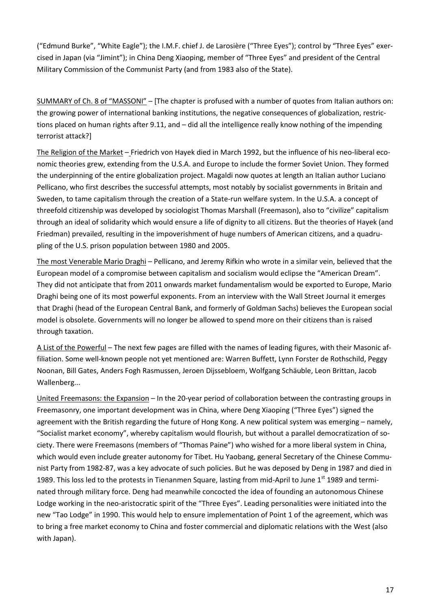("Edmund Burke", "White Eagle"); the I.M.F. chief J. de Larosière ("Three Eyes"); control by "Three Eyes" exercised in Japan (via "Jimint"); in China Deng Xiaoping, member of "Three Eyes" and president of the Central Military Commission of the Communist Party (and from 1983 also of the State).

SUMMARY of Ch. 8 of "MASSONI" – [The chapter is profused with a number of quotes from Italian authors on: the growing power of international banking institutions, the negative consequences of globalization, restrictions placed on human rights after 9.11, and – did all the intelligence really know nothing of the impending terrorist attack?]

The Religion of the Market – Friedrich von Hayek died in March 1992, but the influence of his neo-liberal economic theories grew, extending from the U.S.A. and Europe to include the former Soviet Union. They formed the underpinning of the entire globalization project. Magaldi now quotes at length an Italian author Luciano Pellicano, who first describes the successful attempts, most notably by socialist governments in Britain and Sweden, to tame capitalism through the creation of a State-run welfare system. In the U.S.A. a concept of threefold citizenship was developed by sociologist Thomas Marshall (Freemason), also to "civilize" capitalism through an ideal of solidarity which would ensure a life of dignity to all citizens. But the theories of Hayek (and Friedman) prevailed, resulting in the impoverishment of huge numbers of American citizens, and a quadrupling of the U.S. prison population between 1980 and 2005.

The most Venerable Mario Draghi – Pellicano, and Jeremy Rifkin who wrote in a similar vein, believed that the European model of a compromise between capitalism and socialism would eclipse the "American Dream". They did not anticipate that from 2011 onwards market fundamentalism would be exported to Europe, Mario Draghi being one of its most powerful exponents. From an interview with the Wall Street Journal it emerges that Draghi (head of the European Central Bank, and formerly of Goldman Sachs) believes the European social model is obsolete. Governments will no longer be allowed to spend more on their citizens than is raised through taxation.

A List of the Powerful – The next few pages are filled with the names of leading figures, with their Masonic affiliation. Some well-known people not yet mentioned are: Warren Buffett, Lynn Forster de Rothschild, Peggy Noonan, Bill Gates, Anders Fogh Rasmussen, Jeroen Dijssebloem, Wolfgang Schäuble, Leon Brittan, Jacob Wallenberg...

United Freemasons: the Expansion – In the 20-year period of collaboration between the contrasting groups in Freemasonry, one important development was in China, where Deng Xiaoping ("Three Eyes") signed the agreement with the British regarding the future of Hong Kong. A new political system was emerging – namely, "Socialist market economy", whereby capitalism would flourish, but without a parallel democratization of society. There were Freemasons (members of "Thomas Paine") who wished for a more liberal system in China, which would even include greater autonomy for Tibet. Hu Yaobang, general Secretary of the Chinese Communist Party from 1982-87, was a key advocate of such policies. But he was deposed by Deng in 1987 and died in 1989. This loss led to the protests in Tienanmen Square, lasting from mid-April to June 1<sup>st</sup> 1989 and terminated through military force. Deng had meanwhile concocted the idea of founding an autonomous Chinese Lodge working in the neo-aristocratic spirit of the "Three Eyes". Leading personalities were initiated into the new "Tao Lodge" in 1990. This would help to ensure implementation of Point 1 of the agreement, which was to bring a free market economy to China and foster commercial and diplomatic relations with the West (also with Japan).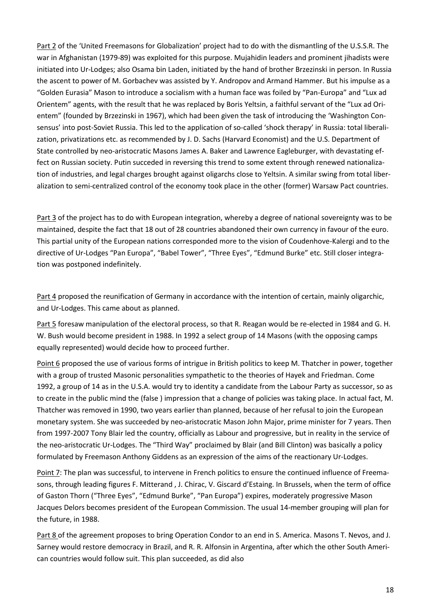Part 2 of the 'United Freemasons for Globalization' project had to do with the dismantling of the U.S.S.R. The war in Afghanistan (1979-89) was exploited for this purpose. Mujahidin leaders and prominent jihadists were initiated into Ur-Lodges; also Osama bin Laden, initiated by the hand of brother Brzezinski in person. In Russia the ascent to power of M. Gorbachev was assisted by Y. Andropov and Armand Hammer. But his impulse as a "Golden Eurasia" Mason to introduce a socialism with a human face was foiled by "Pan-Europa" and "Lux ad Orientem" agents, with the result that he was replaced by Boris Yeltsin, a faithful servant of the "Lux ad Orientem" (founded by Brzezinski in 1967), which had been given the task of introducing the 'Washington Consensus' into post-Soviet Russia. This led to the application of so-called 'shock therapy' in Russia: total liberalization, privatizations etc. as recommended by J. D. Sachs (Harvard Economist) and the U.S. Department of State controlled by neo-aristocratic Masons James A. Baker and Lawrence Eagleburger, with devastating effect on Russian society. Putin succeded in reversing this trend to some extent through renewed nationalization of industries, and legal charges brought against oligarchs close to Yeltsin. A similar swing from total liberalization to semi-centralized control of the economy took place in the other (former) Warsaw Pact countries.

Part 3 of the project has to do with European integration, whereby a degree of national sovereignty was to be maintained, despite the fact that 18 out of 28 countries abandoned their own currency in favour of the euro. This partial unity of the European nations corresponded more to the vision of Coudenhove-Kalergi and to the directive of Ur-Lodges "Pan Europa", "Babel Tower", "Three Eyes", "Edmund Burke" etc. Still closer integration was postponed indefinitely.

Part 4 proposed the reunification of Germany in accordance with the intention of certain, mainly oligarchic, and Ur-Lodges. This came about as planned.

Part 5 foresaw manipulation of the electoral process, so that R. Reagan would be re-elected in 1984 and G. H. W. Bush would become president in 1988. In 1992 a select group of 14 Masons (with the opposing camps equally represented) would decide how to proceed further.

Point 6 proposed the use of various forms of intrigue in British politics to keep M. Thatcher in power, together with a group of trusted Masonic personalities sympathetic to the theories of Hayek and Friedman. Come 1992, a group of 14 as in the U.S.A. would try to identity a candidate from the Labour Party as successor, so as to create in the public mind the (false ) impression that a change of policies was taking place. In actual fact, M. Thatcher was removed in 1990, two years earlier than planned, because of her refusal to join the European monetary system. She was succeeded by neo-aristocratic Mason John Major, prime minister for 7 years. Then from 1997-2007 Tony Blair led the country, officially as Labour and progressive, but in reality in the service of the neo-aristocratic Ur-Lodges. The "Third Way" proclaimed by Blair (and Bill Clinton) was basically a policy formulated by Freemason Anthony Giddens as an expression of the aims of the reactionary Ur-Lodges.

Point 7: The plan was successful, to intervene in French politics to ensure the continued influence of Freemasons, through leading figures F. Mitterand , J. Chirac, V. Giscard d'Estaing. In Brussels, when the term of office of Gaston Thorn ("Three Eyes", "Edmund Burke", "Pan Europa") expires, moderately progressive Mason Jacques Delors becomes president of the European Commission. The usual 14-member grouping will plan for the future, in 1988.

Part 8 of the agreement proposes to bring Operation Condor to an end in S. America. Masons T. Nevos, and J. Sarney would restore democracy in Brazil, and R. R. Alfonsin in Argentina, after which the other South American countries would follow suit. This plan succeeded, as did also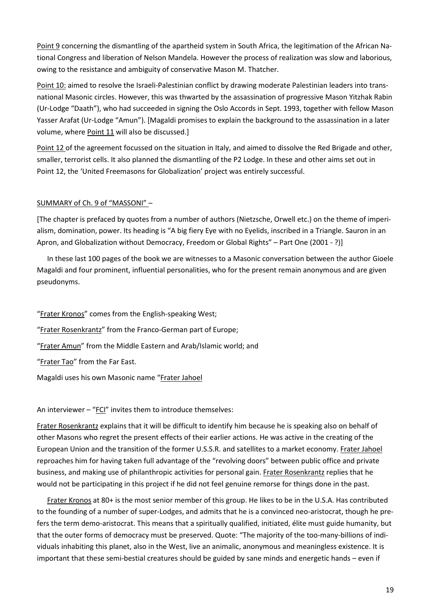Point 9 concerning the dismantling of the apartheid system in South Africa, the legitimation of the African National Congress and liberation of Nelson Mandela. However the process of realization was slow and laborious, owing to the resistance and ambiguity of conservative Mason M. Thatcher.

Point 10: aimed to resolve the Israeli-Palestinian conflict by drawing moderate Palestinian leaders into transnational Masonic circles. However, this was thwarted by the assassination of progressive Mason Yitzhak Rabin (Ur-Lodge "Daath"), who had succeeded in signing the Oslo Accords in Sept. 1993, together with fellow Mason Yasser Arafat (Ur-Lodge "Amun"). [Magaldi promises to explain the background to the assassination in a later volume, where Point 11 will also be discussed.]

Point 12 of the agreement focussed on the situation in Italy, and aimed to dissolve the Red Brigade and other, smaller, terrorist cells. It also planned the dismantling of the P2 Lodge. In these and other aims set out in Point 12, the 'United Freemasons for Globalization' project was entirely successful.

### SUMMARY of Ch. 9 of "MASSONI" –

[The chapter is prefaced by quotes from a number of authors (Nietzsche, Orwell etc.) on the theme of imperialism, domination, power. Its heading is "A big fiery Eye with no Eyelids, inscribed in a Triangle. Sauron in an Apron, and Globalization without Democracy, Freedom or Global Rights" – Part One (2001 - ?)]

In these last 100 pages of the book we are witnesses to a Masonic conversation between the author Gioele Magaldi and four prominent, influential personalities, who for the present remain anonymous and are given pseudonyms.

"Frater Kronos" comes from the English-speaking West;

"Frater Rosenkrantz" from the Franco-German part of Europe;

"Frater Amun" from the Middle Eastern and Arab/Islamic world; and

"Frater Tao" from the Far East.

Magaldi uses his own Masonic name "Frater Jahoel

An interviewer – "FCI" invites them to introduce themselves:

Frater Rosenkrantz explains that it will be difficult to identify him because he is speaking also on behalf of other Masons who regret the present effects of their earlier actions. He was active in the creating of the European Union and the transition of the former U.S.S.R. and satellites to a market economy. Frater Jahoel reproaches him for having taken full advantage of the "revolving doors" between public office and private business, and making use of philanthropic activities for personal gain. Frater Rosenkrantz replies that he would not be participating in this project if he did not feel genuine remorse for things done in the past.

Frater Kronos at 80+ is the most senior member of this group. He likes to be in the U.S.A. Has contributed to the founding of a number of super-Lodges, and admits that he is a convinced neo-aristocrat, though he prefers the term demo-aristocrat. This means that a spiritually qualified, initiated, élite must guide humanity, but that the outer forms of democracy must be preserved. Quote: "The majority of the too-many-billions of individuals inhabiting this planet, also in the West, live an animalic, anonymous and meaningless existence. It is important that these semi-bestial creatures should be guided by sane minds and energetic hands – even if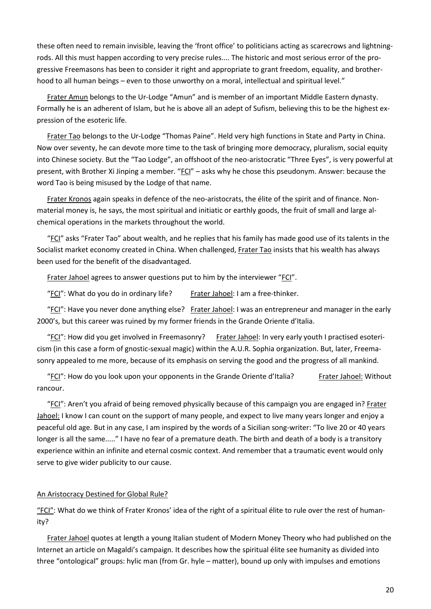these often need to remain invisible, leaving the 'front office' to politicians acting as scarecrows and lightningrods. All this must happen according to very precise rules.... The historic and most serious error of the progressive Freemasons has been to consider it right and appropriate to grant freedom, equality, and brotherhood to all human beings – even to those unworthy on a moral, intellectual and spiritual level."

Frater Amun belongs to the Ur-Lodge "Amun" and is member of an important Middle Eastern dynasty. Formally he is an adherent of Islam, but he is above all an adept of Sufism, believing this to be the highest expression of the esoteric life.

Frater Tao belongs to the Ur-Lodge "Thomas Paine". Held very high functions in State and Party in China. Now over seventy, he can devote more time to the task of bringing more democracy, pluralism, social equity into Chinese society. But the "Tao Lodge", an offshoot of the neo-aristocratic "Three Eyes", is very powerful at present, with Brother Xi Jinping a member. "FCI" – asks why he chose this pseudonym. Answer: because the word Tao is being misused by the Lodge of that name.

Frater Kronos again speaks in defence of the neo-aristocrats, the élite of the spirit and of finance. Nonmaterial money is, he says, the most spiritual and initiatic or earthly goods, the fruit of small and large alchemical operations in the markets throughout the world.

"FCI" asks "Frater Tao" about wealth, and he replies that his family has made good use of its talents in the Socialist market economy created in China. When challenged, Frater Tao insists that his wealth has always been used for the benefit of the disadvantaged.

Frater Jahoel agrees to answer questions put to him by the interviewer "FCI".

"FCI": What do you do in ordinary life? Frater Jahoel: I am a free-thinker.

"FCI": Have you never done anything else? Frater Jahoel: I was an entrepreneur and manager in the early 2000's, but this career was ruined by my former friends in the Grande Oriente d'Italia.

"FCI": How did you get involved in Freemasonry? Frater Jahoel: In very early youth I practised esotericism (in this case a form of gnostic-sexual magic) within the A.U.R. Sophia organization. But, later, Freemasonry appealed to me more, because of its emphasis on serving the good and the progress of all mankind.

"FCI": How do you look upon your opponents in the Grande Oriente d'Italia? Frater Jahoel: Without rancour.

"FCI": Aren't you afraid of being removed physically because of this campaign you are engaged in? Frater Jahoel: I know I can count on the support of many people, and expect to live many years longer and enjoy a peaceful old age. But in any case, I am inspired by the words of a Sicilian song-writer: "To live 20 or 40 years longer is all the same....." I have no fear of a premature death. The birth and death of a body is a transitory experience within an infinite and eternal cosmic context. And remember that a traumatic event would only serve to give wider publicity to our cause.

### An Aristocracy Destined for Global Rule?

"FCI": What do we think of Frater Kronos' idea of the right of a spiritual élite to rule over the rest of humanity?

Frater Jahoel quotes at length a young Italian student of Modern Money Theory who had published on the Internet an article on Magaldi's campaign. It describes how the spiritual élite see humanity as divided into three "ontological" groups: hylic man (from Gr. hyle – matter), bound up only with impulses and emotions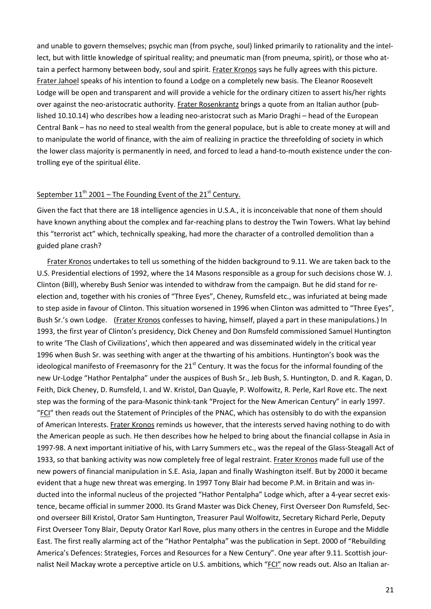and unable to govern themselves; psychic man (from psyche, soul) linked primarily to rationality and the intellect, but with little knowledge of spiritual reality; and pneumatic man (from pneuma, spirit), or those who attain a perfect harmony between body, soul and spirit. Frater Kronos says he fully agrees with this picture. Frater Jahoel speaks of his intention to found a Lodge on a completely new basis. The Eleanor Roosevelt Lodge will be open and transparent and will provide a vehicle for the ordinary citizen to assert his/her rights over against the neo-aristocratic authority. Frater Rosenkrantz brings a quote from an Italian author (published 10.10.14) who describes how a leading neo-aristocrat such as Mario Draghi – head of the European Central Bank – has no need to steal wealth from the general populace, but is able to create money at will and to manipulate the world of finance, with the aim of realizing in practice the threefolding of society in which the lower class majority is permanently in need, and forced to lead a hand-to-mouth existence under the controlling eye of the spiritual élite.

# September  $11<sup>th</sup>$  2001 – The Founding Event of the 21<sup>st</sup> Century.

Given the fact that there are 18 intelligence agencies in U.S.A., it is inconceivable that none of them should have known anything about the complex and far-reaching plans to destroy the Twin Towers. What lay behind this "terrorist act" which, technically speaking, had more the character of a controlled demolition than a guided plane crash?

Frater Kronos undertakes to tell us something of the hidden background to 9.11. We are taken back to the U.S. Presidential elections of 1992, where the 14 Masons responsible as a group for such decisions chose W. J. Clinton (Bill), whereby Bush Senior was intended to withdraw from the campaign. But he did stand for reelection and, together with his cronies of "Three Eyes", Cheney, Rumsfeld etc., was infuriated at being made to step aside in favour of Clinton. This situation worsened in 1996 when Clinton was admitted to "Three Eyes", Bush Sr.'s own Lodge. (Frater Kronos confesses to having, himself, played a part in these manipulations.) In 1993, the first year of Clinton's presidency, Dick Cheney and Don Rumsfeld commissioned Samuel Huntington to write 'The Clash of Civilizations', which then appeared and was disseminated widely in the critical year 1996 when Bush Sr. was seething with anger at the thwarting of his ambitions. Huntington's book was the ideological manifesto of Freemasonry for the  $21<sup>st</sup>$  Century. It was the focus for the informal founding of the new Ur-Lodge "Hathor Pentalpha" under the auspices of Bush Sr., Jeb Bush, S. Huntington, D. and R. Kagan, D. Feith, Dick Cheney, D. Rumsfeld, I. and W. Kristol, Dan Quayle, P. Wolfowitz, R. Perle, Karl Rove etc. The next step was the forming of the para-Masonic think-tank "Project for the New American Century" in early 1997. "FCI" then reads out the Statement of Principles of the PNAC, which has ostensibly to do with the expansion of American Interests. Frater Kronos reminds us however, that the interests served having nothing to do with the American people as such. He then describes how he helped to bring about the financial collapse in Asia in 1997-98. A next important initiative of his, with Larry Summers etc., was the repeal of the Glass-Steagall Act of 1933, so that banking activity was now completely free of legal restraint. Frater Kronos made full use of the new powers of financial manipulation in S.E. Asia, Japan and finally Washington itself. But by 2000 it became evident that a huge new threat was emerging. In 1997 Tony Blair had become P.M. in Britain and was inducted into the informal nucleus of the projected "Hathor Pentalpha" Lodge which, after a 4-year secret existence, became official in summer 2000. Its Grand Master was Dick Cheney, First Overseer Don Rumsfeld, Second overseer Bill Kristol, Orator Sam Huntington, Treasurer Paul Wolfowitz, Secretary Richard Perle, Deputy First Overseer Tony Blair, Deputy Orator Karl Rove, plus many others in the centres in Europe and the Middle East. The first really alarming act of the "Hathor Pentalpha" was the publication in Sept. 2000 of "Rebuilding America's Defences: Strategies, Forces and Resources for a New Century". One year after 9.11. Scottish journalist Neil Mackay wrote a perceptive article on U.S. ambitions, which "FCI" now reads out. Also an Italian ar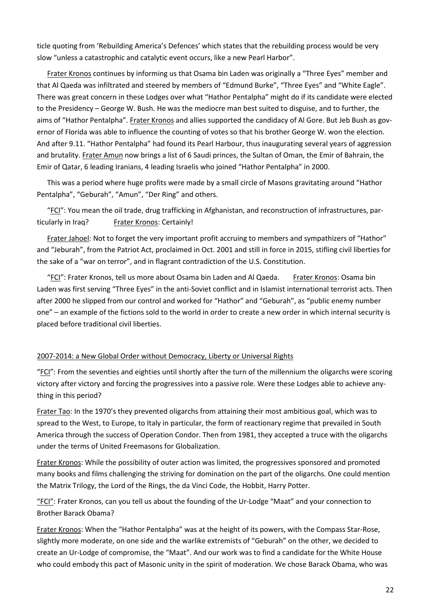ticle quoting from 'Rebuilding America's Defences' which states that the rebuilding process would be very slow "unless a catastrophic and catalytic event occurs, like a new Pearl Harbor".

Frater Kronos continues by informing us that Osama bin Laden was originally a "Three Eyes" member and that Al Qaeda was infiltrated and steered by members of "Edmund Burke", "Three Eyes" and "White Eagle". There was great concern in these Lodges over what "Hathor Pentalpha" might do if its candidate were elected to the Presidency – George W. Bush. He was the mediocre man best suited to disguise, and to further, the aims of "Hathor Pentalpha". Frater Kronos and allies supported the candidacy of Al Gore. But Jeb Bush as governor of Florida was able to influence the counting of votes so that his brother George W. won the election. And after 9.11. "Hathor Pentalpha" had found its Pearl Harbour, thus inaugurating several years of aggression and brutality. Frater Amun now brings a list of 6 Saudi princes, the Sultan of Oman, the Emir of Bahrain, the Emir of Qatar, 6 leading Iranians, 4 leading Israelis who joined "Hathor Pentalpha" in 2000.

This was a period where huge profits were made by a small circle of Masons gravitating around "Hathor Pentalpha", "Geburah", "Amun", "Der Ring" and others.

"FCI": You mean the oil trade, drug trafficking in Afghanistan, and reconstruction of infrastructures, particularly in Iraq? Frater Kronos: Certainly!

Frater Jahoel: Not to forget the very important profit accruing to members and sympathizers of "Hathor" and "Jeburah", from the Patriot Act, proclaimed in Oct. 2001 and still in force in 2015, stifling civil liberties for the sake of a "war on terror", and in flagrant contradiction of the U.S. Constitution.

"FCI": Frater Kronos, tell us more about Osama bin Laden and Al Qaeda. Frater Kronos: Osama bin Laden was first serving "Three Eyes" in the anti-Soviet conflict and in Islamist international terrorist acts. Then after 2000 he slipped from our control and worked for "Hathor" and "Geburah", as "public enemy number one" – an example of the fictions sold to the world in order to create a new order in which internal security is placed before traditional civil liberties.

### 2007-2014: a New Global Order without Democracy, Liberty or Universal Rights

"FCI": From the seventies and eighties until shortly after the turn of the millennium the oligarchs were scoring victory after victory and forcing the progressives into a passive role. Were these Lodges able to achieve anything in this period?

Frater Tao: In the 1970's they prevented oligarchs from attaining their most ambitious goal, which was to spread to the West, to Europe, to Italy in particular, the form of reactionary regime that prevailed in South America through the success of Operation Condor. Then from 1981, they accepted a truce with the oligarchs under the terms of United Freemasons for Globalization.

Frater Kronos: While the possibility of outer action was limited, the progressives sponsored and promoted many books and films challenging the striving for domination on the part of the oligarchs. One could mention the Matrix Trilogy, the Lord of the Rings, the da Vinci Code, the Hobbit, Harry Potter.

"FCI": Frater Kronos, can you tell us about the founding of the Ur-Lodge "Maat" and your connection to Brother Barack Obama?

Frater Kronos: When the "Hathor Pentalpha" was at the height of its powers, with the Compass Star-Rose, slightly more moderate, on one side and the warlike extremists of "Geburah" on the other, we decided to create an Ur-Lodge of compromise, the "Maat". And our work was to find a candidate for the White House who could embody this pact of Masonic unity in the spirit of moderation. We chose Barack Obama, who was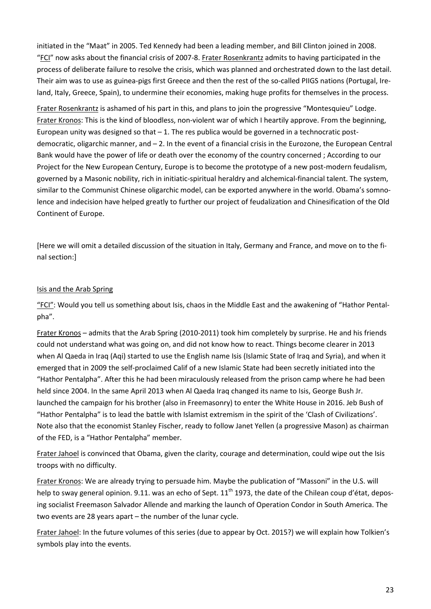initiated in the "Maat" in 2005. Ted Kennedy had been a leading member, and Bill Clinton joined in 2008. "FCI" now asks about the financial crisis of 2007-8. Frater Rosenkrantz admits to having participated in the process of deliberate failure to resolve the crisis, which was planned and orchestrated down to the last detail. Their aim was to use as guinea-pigs first Greece and then the rest of the so-called PIIGS nations (Portugal, Ireland, Italy, Greece, Spain), to undermine their economies, making huge profits for themselves in the process.

Frater Rosenkrantz is ashamed of his part in this, and plans to join the progressive "Montesquieu" Lodge. Frater Kronos: This is the kind of bloodless, non-violent war of which I heartily approve. From the beginning, European unity was designed so that  $-1$ . The res publica would be governed in a technocratic postdemocratic, oligarchic manner, and – 2. In the event of a financial crisis in the Eurozone, the European Central Bank would have the power of life or death over the economy of the country concerned ; According to our Project for the New European Century, Europe is to become the prototype of a new post-modern feudalism, governed by a Masonic nobility, rich in initiatic-spiritual heraldry and alchemical-financial talent. The system, similar to the Communist Chinese oligarchic model, can be exported anywhere in the world. Obama's somnolence and indecision have helped greatly to further our project of feudalization and Chinesification of the Old Continent of Europe.

[Here we will omit a detailed discussion of the situation in Italy, Germany and France, and move on to the final section:]

### Isis and the Arab Spring

"FCI": Would you tell us something about Isis, chaos in the Middle East and the awakening of "Hathor Pentalpha".

Frater Kronos – admits that the Arab Spring (2010-2011) took him completely by surprise. He and his friends could not understand what was going on, and did not know how to react. Things become clearer in 2013 when Al Qaeda in Iraq (Aqi) started to use the English name Isis (Islamic State of Iraq and Syria), and when it emerged that in 2009 the self-proclaimed Calif of a new Islamic State had been secretly initiated into the "Hathor Pentalpha". After this he had been miraculously released from the prison camp where he had been held since 2004. In the same April 2013 when Al Qaeda Iraq changed its name to Isis, George Bush Jr. launched the campaign for his brother (also in Freemasonry) to enter the White House in 2016. Jeb Bush of "Hathor Pentalpha" is to lead the battle with Islamist extremism in the spirit of the 'Clash of Civilizations'. Note also that the economist Stanley Fischer, ready to follow Janet Yellen (a progressive Mason) as chairman of the FED, is a "Hathor Pentalpha" member.

Frater Jahoel is convinced that Obama, given the clarity, courage and determination, could wipe out the Isis troops with no difficulty.

Frater Kronos: We are already trying to persuade him. Maybe the publication of "Massoni" in the U.S. will help to sway general opinion. 9.11. was an echo of Sept.  $11<sup>th</sup>$  1973, the date of the Chilean coup d'état, deposing socialist Freemason Salvador Allende and marking the launch of Operation Condor in South America. The two events are 28 years apart – the number of the lunar cycle.

Frater Jahoel: In the future volumes of this series (due to appear by Oct. 2015?) we will explain how Tolkien's symbols play into the events.